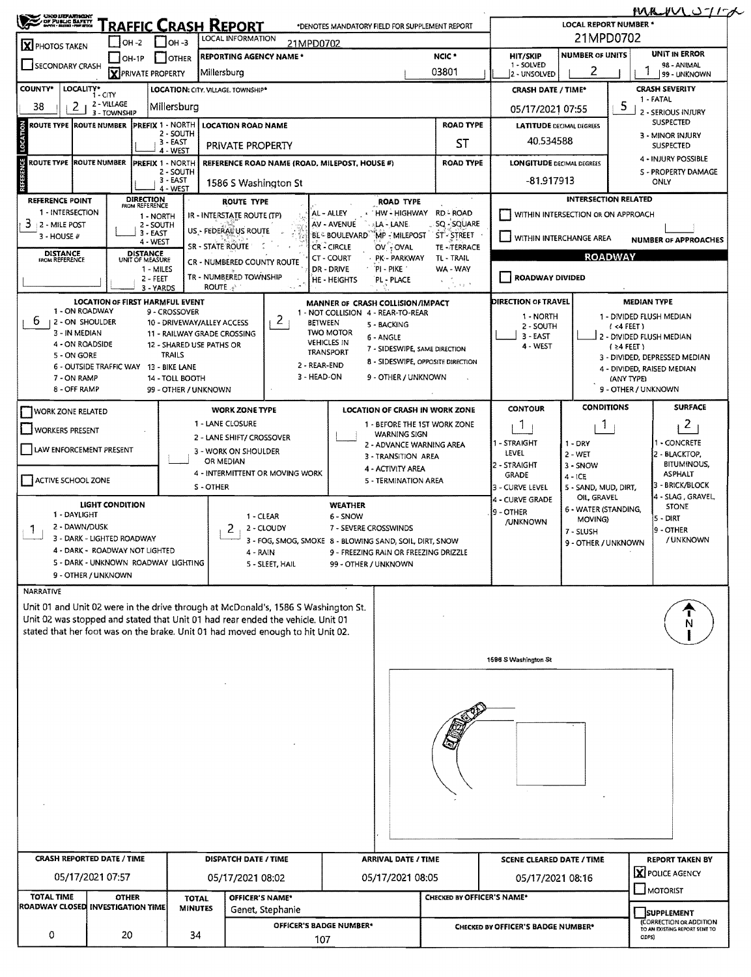| <b>CHOLIEFANTHENT</b><br>COF PUBLIC BAFETY<br>Corte House Francia |                                                                       |                                    |                                         | <b>RAFFIC CRASH REPORT</b>                                                                                                                                            |                  | *DENOTES MANDATORY FIELD FOR SUPPLEMENT REPORT                                   |                                          |                                       |                                                                                                                | <b>LOCAL REPORT NUMBER *</b>      |                                   | <u>MAVUSTE</u>                               |
|-------------------------------------------------------------------|-----------------------------------------------------------------------|------------------------------------|-----------------------------------------|-----------------------------------------------------------------------------------------------------------------------------------------------------------------------|------------------|----------------------------------------------------------------------------------|------------------------------------------|---------------------------------------|----------------------------------------------------------------------------------------------------------------|-----------------------------------|-----------------------------------|----------------------------------------------|
| <b>X</b> PHOTOS TAKEN                                             | $IOH - 2$                                                             |                                    | $\Box$ OH-3                             | LOCAL INFORMATION                                                                                                                                                     | 21MPD0702        |                                                                                  |                                          |                                       |                                                                                                                |                                   | 21MPD0702                         |                                              |
| SECONDARY CRASH                                                   | $\blacksquare$ OH-1P                                                  | <b>X</b> PRIVATE PROPERTY          | <b>I</b> JOTHER                         | <b>REPORTING AGENCY NAME*</b><br>Millersburg                                                                                                                          |                  |                                                                                  |                                          | NCIC <sup>*</sup><br>03801            | HIT/SKIP<br>1 - SOLVED<br>2 - UNSOLVED                                                                         | <b>NUMBER OF UNITS</b><br>2       |                                   | UNIT IN ERROR<br>98 - ANIMAL<br>99 - UNKNOWN |
| <b>COUNTY*</b><br>LOCALITY*                                       |                                                                       |                                    |                                         | LOCATION: CITY, VILLAGE, TOWNSHIP*                                                                                                                                    |                  |                                                                                  |                                          |                                       | <b>CRASH DATE / TIME*</b>                                                                                      |                                   |                                   | <b>CRASH SEVERITY</b>                        |
| 38<br>2                                                           | $1 - CITY$<br>2 - VILLAGE<br>3 - TOWNSHIP                             |                                    | Millersburg                             |                                                                                                                                                                       |                  |                                                                                  |                                          |                                       | 05/17/2021 07:55                                                                                               |                                   | 5.                                | 1 - FATAL<br>2 - SERIOUS INJURY              |
| ROUTE TYPE IROUTE NUMBER                                          |                                                                       | <b>PREFIX 1 - NORTH</b>            | $2 - 50$ UTH                            | <b>LOCATION ROAD NAME</b>                                                                                                                                             |                  |                                                                                  |                                          | <b>ROAD TYPE</b>                      | <b>LATITUDE DECIMAL DEGREES</b>                                                                                |                                   |                                   | SUSPECTED<br>3 - MINOR INJURY                |
|                                                                   |                                                                       |                                    | 3 - EAST<br>4 - WEST                    | PRIVATE PROPERTY                                                                                                                                                      |                  |                                                                                  |                                          | SΤ                                    | 40.534588                                                                                                      |                                   |                                   | SUSPECTED                                    |
| ROUTE TYPE  ROUTE NUMBER                                          |                                                                       | <b>PREFIX 1 - NORTH</b>            | 2 - SOUTH                               | REFERENCE ROAD NAME (ROAD, MILEPOST, HOUSE #)                                                                                                                         |                  |                                                                                  |                                          | <b>ROAD TYPE</b>                      | <b>LONGITUDE DECIMAL DEGREES</b>                                                                               |                                   |                                   | 4 - INJURY POSSIBLE<br>S - PROPERTY DAMAGE   |
|                                                                   |                                                                       |                                    | 3 - EAST<br>4 - WEST                    | 1586 S Washington St                                                                                                                                                  |                  |                                                                                  |                                          |                                       | -81.917913                                                                                                     |                                   |                                   | <b>ONLY</b>                                  |
| <b>REFERENCE POINT</b>                                            |                                                                       | <b>DIRECTION</b><br>FROM REFERENCE |                                         | ROUTE TYPE                                                                                                                                                            |                  |                                                                                  | <b>ROAD TYPE</b>                         |                                       |                                                                                                                |                                   | <b>INTERSECTION RELATED</b>       |                                              |
| 1 - INTERSECTION<br>3<br>2 - MILE POST                            |                                                                       | 1 - NORTH<br>2 - SOUTH             |                                         | IR - INTERSTATE ROUTE (TP)                                                                                                                                            |                  | AL - ALLEY<br>AV - AVENUE                                                        | <b>HW-HIGHWAY</b><br><b>ALA - LANE</b>   | <b>RD-ROAD</b><br>SQ - SQUARE         | WITHIN INTERSECTION OR ON APPROACH                                                                             |                                   |                                   |                                              |
| $3 - HOUSE#$                                                      |                                                                       | $3 - EAST$<br>4 - WEST             |                                         | US - FEDERAL US ROUTE<br>SR - STATE ROUTE                                                                                                                             |                  | <b>BL- BOULEVARD</b><br><b>CR-CIRCLE</b>                                         | MP - MILEPOST<br>OV : OVAL               | `ST°-STREET<br><b>TE-TERRACE</b>      | WITHIN INTERCHANGE AREA                                                                                        |                                   |                                   | <b>NUMBER OF APPROACHES</b>                  |
| <b>DISTANCE</b><br>FROM REFERENCE                                 |                                                                       | <b>DISTANCE</b><br>UNIT OF MEASURE |                                         | CR - NUMBERED COUNTY ROUTE                                                                                                                                            |                  | <b>CT - COURT</b>                                                                | · PK - PARKWAY                           | TL-TRAIL                              |                                                                                                                |                                   | <b>ROADWAY</b>                    |                                              |
|                                                                   |                                                                       | 1 - MILES<br>2 - FEET              |                                         | TR - NUMBERED TOWNSHIP                                                                                                                                                |                  | DR - DRIVE<br>HE - HEIGHTS                                                       | PI - PIKE<br>PL - PLACE                  | WA - WAY<br>$\sim 5\,m_\odot$         | <b>ROADWAY DIVIDED</b>                                                                                         |                                   |                                   |                                              |
|                                                                   | <b>LOCATION OF FIRST HARMFUL EVENT</b>                                | 3 - YARDS                          |                                         | <b>ROUTE</b>                                                                                                                                                          |                  | MANNER OF CRASH COLLISION/IMPACT                                                 |                                          |                                       | DIRECTION OF TRAVEL                                                                                            |                                   | <b>MEDIAN TYPE</b>                |                                              |
| 1 - ON ROADWAY<br>6.<br>12 - ON SHOULDER                          |                                                                       |                                    | 9 - CROSSOVER                           |                                                                                                                                                                       | 2 <sub>1</sub>   | 1 - NOT COLLISION 4 - REAR-TO-REAR                                               |                                          |                                       | 1 - NORTH                                                                                                      |                                   |                                   | 1 - DIVIDED FLUSH MEDIAN                     |
| 3 - IN MEDIAN                                                     |                                                                       |                                    |                                         | 10 - DRIVEWAY/ALLEY ACCESS<br>11 - RAILWAY GRADE CROSSING                                                                                                             |                  | <b>BETWEEN</b><br><b>TWO MOTOR</b>                                               | 5 - BACKING<br>6 - ANGLE                 |                                       | 2 - SOUTH<br>$3 - EAST$                                                                                        |                                   | $($ <4 FEET)                      | 2 - DIVIDED FLUSH MEDIAN                     |
| 4 - ON ROADSIDE<br>5 - ON GORE                                    |                                                                       |                                    | <b>TRAILS</b>                           | 12 - SHARED USE PATHS OR                                                                                                                                              |                  | <b>VEHICLES IN</b><br><b>TRANSPORT</b>                                           | 7 - SIDESWIPE, SAME DIRECTION            |                                       | 4 - WEST                                                                                                       |                                   | $(24$ FEET)                       | 3 - DIVIDED, DEPRESSED MEDIAN                |
|                                                                   | 6 - OUTSIDE TRAFFIC WAY 13 - BIKE LANE                                |                                    |                                         |                                                                                                                                                                       |                  | 2 - REAR-END<br>3 - HEAD-ON                                                      | 9 - OTHER / UNKNOWN                      | 8 - SIDESWIPE, OPPOSITE DIRECTION     |                                                                                                                |                                   |                                   | 4 - DIVIDED, RAISED MEDIAN                   |
| 7 - ON RAMP<br>8 - OFF RAMP                                       |                                                                       |                                    | 14 - TOLL BOOTH<br>99 - OTHER / UNKNOWN |                                                                                                                                                                       |                  |                                                                                  |                                          |                                       |                                                                                                                |                                   | (ANY TYPE)<br>9 - OTHER / UNKNOWN |                                              |
| <b>WORK ZONE RELATED</b>                                          |                                                                       |                                    |                                         | <b>WORK ZONE TYPE</b>                                                                                                                                                 |                  |                                                                                  |                                          | <b>LOCATION OF CRASH IN WORK ZONE</b> | <b>CONTOUR</b>                                                                                                 | <b>CONDITIONS</b>                 |                                   | <b>SURFACE</b>                               |
| <b>WORKERS PRESENT</b>                                            |                                                                       |                                    |                                         | 1 - LANE CLOSURE                                                                                                                                                      |                  |                                                                                  | <b>WARNING SIGN</b>                      | 1 - BEFORE THE 1ST WORK ZONE          | 1                                                                                                              | $\mathbf{1}$                      |                                   | $\mathbf{Z}$                                 |
| LAW ENFORCEMENT PRESENT                                           |                                                                       |                                    |                                         | 2 - LANE SHIFT/ CROSSOVER<br>3 - WORK ON SHOULDER                                                                                                                     |                  |                                                                                  | 2 - ADVANCE WARNING AREA                 |                                       | 1 - STRAIGHT                                                                                                   | $1 - DRY$                         |                                   | I - CONCRETE                                 |
|                                                                   |                                                                       |                                    |                                         | OR MEDIAN                                                                                                                                                             |                  |                                                                                  | 3 - TRANSITION AREA<br>4 - ACTIVITY AREA |                                       | LEVEL<br>2 - STRAIGHT                                                                                          | $2 - WET$<br>3 - SNOW             |                                   | 2 - BLACKTOP,<br><b>BITUMINOUS,</b>          |
| ACTIVE SCHOOL ZONE                                                |                                                                       |                                    |                                         | 4 - INTERMITTENT OR MOVING WORK<br>S-OTHER                                                                                                                            |                  |                                                                                  | 5 - TERMINATION AREA                     |                                       | <b>GRADE</b><br>3 - CURVE LEVEL                                                                                | $4 - ICE$<br>5 - SAND, MUD, DIRT, |                                   | <b>ASPHALT</b><br>3 - BRICK/BLOCK            |
|                                                                   | <b>LIGHT CONDITION</b>                                                |                                    |                                         |                                                                                                                                                                       |                  | <b>WEATHER</b>                                                                   |                                          |                                       | 4 - CURVE GRADE                                                                                                | OIL, GRAVEL                       |                                   | 4 - SLAG, GRAVEL<br><b>STONE</b>             |
| 1 - DAYLIGHT<br>2 - DAWN/DUSK                                     |                                                                       |                                    |                                         | 1 - CLEAR                                                                                                                                                             |                  | 6 - SNOW                                                                         |                                          |                                       | 9 - OTHER<br><b>/UNKNOWN</b>                                                                                   | 6 - WATER (STANDING,<br>MOVING)   |                                   | $5 - DIRT$                                   |
| Ŧ                                                                 | 3 - DARK - LIGHTED ROADWAY                                            |                                    |                                         | 2                                                                                                                                                                     | 2 - CLOUDY       | 7 - SEVERE CROSSWINDS<br>3 - FOG, SMOG, SMOKE 8 - BLOWING SAND, SOIL, DIRT, SNOW |                                          |                                       |                                                                                                                | 7 - SLUSH<br>9 - OTHER / UNKNOWN  |                                   | 9 - OTHER<br>/ UNKNOWN                       |
|                                                                   | 4 - DARK - ROADWAY NOT LIGHTED<br>5 - DARK - UNKNOWN ROADWAY LIGHTING |                                    |                                         | 4 - RAIN                                                                                                                                                              |                  |                                                                                  | 9 - FREEZING RAIN OR FREEZING DRIZZLE    |                                       |                                                                                                                |                                   |                                   |                                              |
|                                                                   | 9 - OTHER / UNKNOWN                                                   |                                    |                                         |                                                                                                                                                                       | 5 - SLEET, HAIL  | 99 - OTHER / UNKNOWN                                                             |                                          |                                       |                                                                                                                |                                   |                                   |                                              |
| <b>NARRATIVE</b>                                                  |                                                                       |                                    |                                         |                                                                                                                                                                       |                  |                                                                                  |                                          |                                       |                                                                                                                |                                   |                                   |                                              |
|                                                                   |                                                                       |                                    |                                         | Unit 01 and Unit 02 were in the drive through at McDonald's, 1586 S Washington St.<br>Unit 02 was stopped and stated that Unit 01 had rear ended the vehicle. Unit 01 |                  |                                                                                  |                                          |                                       |                                                                                                                |                                   |                                   |                                              |
|                                                                   |                                                                       |                                    |                                         | stated that her foot was on the brake. Unit 01 had moved enough to hit Unit 02.                                                                                       |                  |                                                                                  |                                          |                                       |                                                                                                                |                                   |                                   |                                              |
|                                                                   |                                                                       |                                    |                                         |                                                                                                                                                                       |                  |                                                                                  |                                          |                                       | 1596 S Washington St                                                                                           |                                   |                                   |                                              |
|                                                                   |                                                                       |                                    |                                         |                                                                                                                                                                       |                  |                                                                                  |                                          |                                       |                                                                                                                |                                   |                                   |                                              |
|                                                                   |                                                                       |                                    |                                         |                                                                                                                                                                       |                  |                                                                                  |                                          |                                       |                                                                                                                |                                   |                                   |                                              |
|                                                                   |                                                                       |                                    |                                         |                                                                                                                                                                       |                  |                                                                                  |                                          |                                       |                                                                                                                |                                   |                                   |                                              |
|                                                                   |                                                                       |                                    |                                         |                                                                                                                                                                       |                  |                                                                                  |                                          |                                       |                                                                                                                |                                   |                                   |                                              |
|                                                                   |                                                                       |                                    |                                         |                                                                                                                                                                       |                  |                                                                                  |                                          |                                       |                                                                                                                |                                   |                                   |                                              |
|                                                                   |                                                                       |                                    |                                         |                                                                                                                                                                       |                  |                                                                                  |                                          |                                       |                                                                                                                |                                   |                                   |                                              |
|                                                                   |                                                                       |                                    |                                         |                                                                                                                                                                       |                  |                                                                                  |                                          |                                       |                                                                                                                |                                   |                                   |                                              |
|                                                                   |                                                                       |                                    |                                         |                                                                                                                                                                       |                  |                                                                                  |                                          |                                       |                                                                                                                |                                   |                                   |                                              |
|                                                                   |                                                                       |                                    |                                         |                                                                                                                                                                       |                  |                                                                                  |                                          |                                       |                                                                                                                |                                   |                                   |                                              |
|                                                                   |                                                                       |                                    |                                         |                                                                                                                                                                       |                  |                                                                                  |                                          |                                       |                                                                                                                |                                   |                                   |                                              |
| <b>CRASH REPORTED DATE / TIME</b>                                 |                                                                       |                                    |                                         | DISPATCH DATE / TIME                                                                                                                                                  |                  |                                                                                  | <b>ARRIVAL DATE / TIME</b>               |                                       | <b>SCENE CLEARED DATE / TIME</b>                                                                               |                                   |                                   | <b>REPORT TAKEN BY</b>                       |
|                                                                   | 05/17/2021 07:57                                                      |                                    |                                         | 05/17/2021 08:02                                                                                                                                                      |                  |                                                                                  | 05/17/2021 08:05                         |                                       | 05/17/2021 08:16                                                                                               |                                   |                                   | X POLICE AGENCY                              |
| <b>TOTAL TIME</b>                                                 | <b>OTHER</b>                                                          |                                    | <b>TOTAL</b>                            | OFFICER'S NAME*                                                                                                                                                       |                  |                                                                                  |                                          | <b>CHECKED BY OFFICER'S NAME*</b>     |                                                                                                                |                                   |                                   | MOTORIST                                     |
| <b>ROADWAY CLOSED INVESTIGATION TIME</b>                          |                                                                       |                                    | <b>MINUTES</b>                          |                                                                                                                                                                       | Genet, Stephanie |                                                                                  |                                          |                                       |                                                                                                                |                                   |                                   | SUPPLEMENT                                   |
| 0                                                                 | 20                                                                    |                                    | 34                                      |                                                                                                                                                                       |                  | OFFICER'S BADGE NUMBER*                                                          |                                          |                                       | (CORRECTION OR ADDITION<br><b>CHECKED BY OFFICER'S BADGE NUMBER*</b><br>TO AN EXISTING REPORT SENT TO<br>ODPS) |                                   |                                   |                                              |
|                                                                   |                                                                       |                                    |                                         |                                                                                                                                                                       |                  | 107                                                                              |                                          |                                       |                                                                                                                |                                   |                                   |                                              |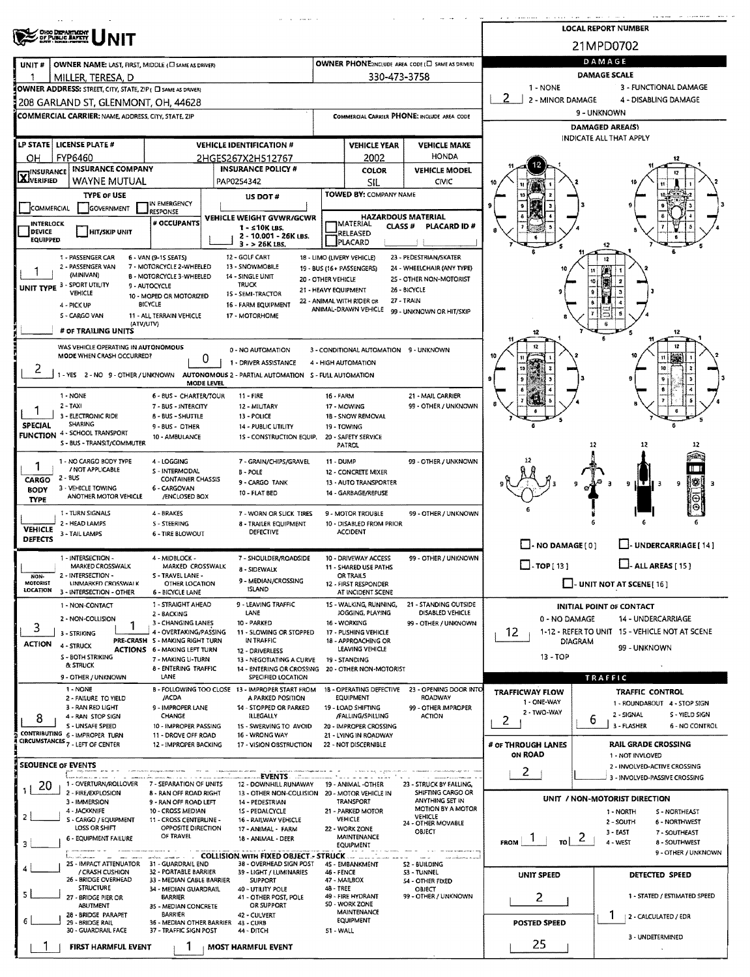|                                                                               |                                                              |                                                                                                                                                                                                                                                                                                                                                                                                                                                                                                                                                                                                                                                                                                                                                                                                                                                                                                                                                                                                                                                                                                                                                                                                                                                                                                                                                                                                                                                                                                                                                                                                                                                                                                                                                                                                                                                                                                                                                                                                                                                                                                                                                                                                                                                                                                                                                                                                                                                                                                                                                                                                                                                                                                                                                                                                                                                                                                                                                                                                                                                                                                                                                                                                                                                                                                                                                                                                                                                                                                                                                                                                                                                                                                                                                                                                                                                                                                                                                                                                                                                        |                                                    | <b>All Cassings</b> |                                                                   |                                                  |                     |                                                                                                                                                                               |  |  |
|-------------------------------------------------------------------------------|--------------------------------------------------------------|--------------------------------------------------------------------------------------------------------------------------------------------------------------------------------------------------------------------------------------------------------------------------------------------------------------------------------------------------------------------------------------------------------------------------------------------------------------------------------------------------------------------------------------------------------------------------------------------------------------------------------------------------------------------------------------------------------------------------------------------------------------------------------------------------------------------------------------------------------------------------------------------------------------------------------------------------------------------------------------------------------------------------------------------------------------------------------------------------------------------------------------------------------------------------------------------------------------------------------------------------------------------------------------------------------------------------------------------------------------------------------------------------------------------------------------------------------------------------------------------------------------------------------------------------------------------------------------------------------------------------------------------------------------------------------------------------------------------------------------------------------------------------------------------------------------------------------------------------------------------------------------------------------------------------------------------------------------------------------------------------------------------------------------------------------------------------------------------------------------------------------------------------------------------------------------------------------------------------------------------------------------------------------------------------------------------------------------------------------------------------------------------------------------------------------------------------------------------------------------------------------------------------------------------------------------------------------------------------------------------------------------------------------------------------------------------------------------------------------------------------------------------------------------------------------------------------------------------------------------------------------------------------------------------------------------------------------------------------------------------------------------------------------------------------------------------------------------------------------------------------------------------------------------------------------------------------------------------------------------------------------------------------------------------------------------------------------------------------------------------------------------------------------------------------------------------------------------------------------------------------------------------------------------------------------------------------------------------------------------------------------------------------------------------------------------------------------------------------------------------------------------------------------------------------------------------------------------------------------------------------------------------------------------------------------------------------------------------------------------------------------------------------------------------------------|----------------------------------------------------|---------------------|-------------------------------------------------------------------|--------------------------------------------------|---------------------|-------------------------------------------------------------------------------------------------------------------------------------------------------------------------------|--|--|
| <b>OHO DEPARTMENT</b><br>OF PUBLIC SAFETY                                     |                                                              |                                                                                                                                                                                                                                                                                                                                                                                                                                                                                                                                                                                                                                                                                                                                                                                                                                                                                                                                                                                                                                                                                                                                                                                                                                                                                                                                                                                                                                                                                                                                                                                                                                                                                                                                                                                                                                                                                                                                                                                                                                                                                                                                                                                                                                                                                                                                                                                                                                                                                                                                                                                                                                                                                                                                                                                                                                                                                                                                                                                                                                                                                                                                                                                                                                                                                                                                                                                                                                                                                                                                                                                                                                                                                                                                                                                                                                                                                                                                                                                                                                                        |                                                    |                     |                                                                   |                                                  |                     |                                                                                                                                                                               |  |  |
| UNIT#                                                                         | OWNER NAME: LAST, FIRST, MIDDLE (CI SAME AS DRIVER)          |                                                                                                                                                                                                                                                                                                                                                                                                                                                                                                                                                                                                                                                                                                                                                                                                                                                                                                                                                                                                                                                                                                                                                                                                                                                                                                                                                                                                                                                                                                                                                                                                                                                                                                                                                                                                                                                                                                                                                                                                                                                                                                                                                                                                                                                                                                                                                                                                                                                                                                                                                                                                                                                                                                                                                                                                                                                                                                                                                                                                                                                                                                                                                                                                                                                                                                                                                                                                                                                                                                                                                                                                                                                                                                                                                                                                                                                                                                                                                                                                                                                        |                                                    |                     |                                                                   | OWNER PHONE:INCLUDE AREA CODE (E SAME AS DRIVER) |                     | DAMAGE                                                                                                                                                                        |  |  |
| -1<br>MILLER, TERESA, D                                                       |                                                              |                                                                                                                                                                                                                                                                                                                                                                                                                                                                                                                                                                                                                                                                                                                                                                                                                                                                                                                                                                                                                                                                                                                                                                                                                                                                                                                                                                                                                                                                                                                                                                                                                                                                                                                                                                                                                                                                                                                                                                                                                                                                                                                                                                                                                                                                                                                                                                                                                                                                                                                                                                                                                                                                                                                                                                                                                                                                                                                                                                                                                                                                                                                                                                                                                                                                                                                                                                                                                                                                                                                                                                                                                                                                                                                                                                                                                                                                                                                                                                                                                                                        |                                                    |                     | 330-473-3758                                                      |                                                  |                     | <b>DAMAGE SCALE</b>                                                                                                                                                           |  |  |
| OWNER ADDRESS: STREET, CITY, STATE, ZIP ( O SAME AS DRIVER)                   |                                                              |                                                                                                                                                                                                                                                                                                                                                                                                                                                                                                                                                                                                                                                                                                                                                                                                                                                                                                                                                                                                                                                                                                                                                                                                                                                                                                                                                                                                                                                                                                                                                                                                                                                                                                                                                                                                                                                                                                                                                                                                                                                                                                                                                                                                                                                                                                                                                                                                                                                                                                                                                                                                                                                                                                                                                                                                                                                                                                                                                                                                                                                                                                                                                                                                                                                                                                                                                                                                                                                                                                                                                                                                                                                                                                                                                                                                                                                                                                                                                                                                                                                        |                                                    |                     |                                                                   |                                                  | $1 - NONE$          |                                                                                                                                                                               |  |  |
|                                                                               |                                                              |                                                                                                                                                                                                                                                                                                                                                                                                                                                                                                                                                                                                                                                                                                                                                                                                                                                                                                                                                                                                                                                                                                                                                                                                                                                                                                                                                                                                                                                                                                                                                                                                                                                                                                                                                                                                                                                                                                                                                                                                                                                                                                                                                                                                                                                                                                                                                                                                                                                                                                                                                                                                                                                                                                                                                                                                                                                                                                                                                                                                                                                                                                                                                                                                                                                                                                                                                                                                                                                                                                                                                                                                                                                                                                                                                                                                                                                                                                                                                                                                                                                        |                                                    |                     |                                                                   |                                                  |                     | 9 - UNKNOWN                                                                                                                                                                   |  |  |
|                                                                               |                                                              |                                                                                                                                                                                                                                                                                                                                                                                                                                                                                                                                                                                                                                                                                                                                                                                                                                                                                                                                                                                                                                                                                                                                                                                                                                                                                                                                                                                                                                                                                                                                                                                                                                                                                                                                                                                                                                                                                                                                                                                                                                                                                                                                                                                                                                                                                                                                                                                                                                                                                                                                                                                                                                                                                                                                                                                                                                                                                                                                                                                                                                                                                                                                                                                                                                                                                                                                                                                                                                                                                                                                                                                                                                                                                                                                                                                                                                                                                                                                                                                                                                                        |                                                    |                     |                                                                   |                                                  |                     |                                                                                                                                                                               |  |  |
| LP STATE   LICENSE PLATE #                                                    |                                                              |                                                                                                                                                                                                                                                                                                                                                                                                                                                                                                                                                                                                                                                                                                                                                                                                                                                                                                                                                                                                                                                                                                                                                                                                                                                                                                                                                                                                                                                                                                                                                                                                                                                                                                                                                                                                                                                                                                                                                                                                                                                                                                                                                                                                                                                                                                                                                                                                                                                                                                                                                                                                                                                                                                                                                                                                                                                                                                                                                                                                                                                                                                                                                                                                                                                                                                                                                                                                                                                                                                                                                                                                                                                                                                                                                                                                                                                                                                                                                                                                                                                        |                                                    |                     |                                                                   |                                                  |                     |                                                                                                                                                                               |  |  |
| FYP6460<br>OН                                                                 |                                                              |                                                                                                                                                                                                                                                                                                                                                                                                                                                                                                                                                                                                                                                                                                                                                                                                                                                                                                                                                                                                                                                                                                                                                                                                                                                                                                                                                                                                                                                                                                                                                                                                                                                                                                                                                                                                                                                                                                                                                                                                                                                                                                                                                                                                                                                                                                                                                                                                                                                                                                                                                                                                                                                                                                                                                                                                                                                                                                                                                                                                                                                                                                                                                                                                                                                                                                                                                                                                                                                                                                                                                                                                                                                                                                                                                                                                                                                                                                                                                                                                                                                        |                                                    |                     | 2002                                                              | <b>HONDA</b>                                     |                     |                                                                                                                                                                               |  |  |
| <b>X</b> INSURANCE                                                            | <b>INSURANCE COMPANY</b>                                     |                                                                                                                                                                                                                                                                                                                                                                                                                                                                                                                                                                                                                                                                                                                                                                                                                                                                                                                                                                                                                                                                                                                                                                                                                                                                                                                                                                                                                                                                                                                                                                                                                                                                                                                                                                                                                                                                                                                                                                                                                                                                                                                                                                                                                                                                                                                                                                                                                                                                                                                                                                                                                                                                                                                                                                                                                                                                                                                                                                                                                                                                                                                                                                                                                                                                                                                                                                                                                                                                                                                                                                                                                                                                                                                                                                                                                                                                                                                                                                                                                                                        |                                                    |                     | <b>COLOR</b>                                                      | <b>VEHICLE MODEL</b>                             |                     |                                                                                                                                                                               |  |  |
|                                                                               | WAYNE MUTUAL                                                 |                                                                                                                                                                                                                                                                                                                                                                                                                                                                                                                                                                                                                                                                                                                                                                                                                                                                                                                                                                                                                                                                                                                                                                                                                                                                                                                                                                                                                                                                                                                                                                                                                                                                                                                                                                                                                                                                                                                                                                                                                                                                                                                                                                                                                                                                                                                                                                                                                                                                                                                                                                                                                                                                                                                                                                                                                                                                                                                                                                                                                                                                                                                                                                                                                                                                                                                                                                                                                                                                                                                                                                                                                                                                                                                                                                                                                                                                                                                                                                                                                                                        |                                                    |                     |                                                                   |                                                  |                     |                                                                                                                                                                               |  |  |
| COMMERCIAL                                                                    | <b>TYPE OF USE</b><br>GOVERNMENT                             |                                                                                                                                                                                                                                                                                                                                                                                                                                                                                                                                                                                                                                                                                                                                                                                                                                                                                                                                                                                                                                                                                                                                                                                                                                                                                                                                                                                                                                                                                                                                                                                                                                                                                                                                                                                                                                                                                                                                                                                                                                                                                                                                                                                                                                                                                                                                                                                                                                                                                                                                                                                                                                                                                                                                                                                                                                                                                                                                                                                                                                                                                                                                                                                                                                                                                                                                                                                                                                                                                                                                                                                                                                                                                                                                                                                                                                                                                                                                                                                                                                                        |                                                    |                     |                                                                   |                                                  |                     |                                                                                                                                                                               |  |  |
| <b>INTERLOCK</b>                                                              |                                                              |                                                                                                                                                                                                                                                                                                                                                                                                                                                                                                                                                                                                                                                                                                                                                                                                                                                                                                                                                                                                                                                                                                                                                                                                                                                                                                                                                                                                                                                                                                                                                                                                                                                                                                                                                                                                                                                                                                                                                                                                                                                                                                                                                                                                                                                                                                                                                                                                                                                                                                                                                                                                                                                                                                                                                                                                                                                                                                                                                                                                                                                                                                                                                                                                                                                                                                                                                                                                                                                                                                                                                                                                                                                                                                                                                                                                                                                                                                                                                                                                                                                        |                                                    |                     |                                                                   |                                                  |                     |                                                                                                                                                                               |  |  |
| <b>DEVICE</b><br><b>EQUIPPED</b>                                              | <b>HIT/SKIP UNIT</b>                                         |                                                                                                                                                                                                                                                                                                                                                                                                                                                                                                                                                                                                                                                                                                                                                                                                                                                                                                                                                                                                                                                                                                                                                                                                                                                                                                                                                                                                                                                                                                                                                                                                                                                                                                                                                                                                                                                                                                                                                                                                                                                                                                                                                                                                                                                                                                                                                                                                                                                                                                                                                                                                                                                                                                                                                                                                                                                                                                                                                                                                                                                                                                                                                                                                                                                                                                                                                                                                                                                                                                                                                                                                                                                                                                                                                                                                                                                                                                                                                                                                                                                        |                                                    |                     |                                                                   |                                                  |                     |                                                                                                                                                                               |  |  |
| 1 - PASSENGER CAR                                                             |                                                              |                                                                                                                                                                                                                                                                                                                                                                                                                                                                                                                                                                                                                                                                                                                                                                                                                                                                                                                                                                                                                                                                                                                                                                                                                                                                                                                                                                                                                                                                                                                                                                                                                                                                                                                                                                                                                                                                                                                                                                                                                                                                                                                                                                                                                                                                                                                                                                                                                                                                                                                                                                                                                                                                                                                                                                                                                                                                                                                                                                                                                                                                                                                                                                                                                                                                                                                                                                                                                                                                                                                                                                                                                                                                                                                                                                                                                                                                                                                                                                                                                                                        |                                                    |                     |                                                                   |                                                  |                     |                                                                                                                                                                               |  |  |
| 2 - PASSENGER VAN                                                             |                                                              |                                                                                                                                                                                                                                                                                                                                                                                                                                                                                                                                                                                                                                                                                                                                                                                                                                                                                                                                                                                                                                                                                                                                                                                                                                                                                                                                                                                                                                                                                                                                                                                                                                                                                                                                                                                                                                                                                                                                                                                                                                                                                                                                                                                                                                                                                                                                                                                                                                                                                                                                                                                                                                                                                                                                                                                                                                                                                                                                                                                                                                                                                                                                                                                                                                                                                                                                                                                                                                                                                                                                                                                                                                                                                                                                                                                                                                                                                                                                                                                                                                                        | 13 - SNOWMOBILE                                    |                     |                                                                   |                                                  |                     |                                                                                                                                                                               |  |  |
| (MINIVAN)<br>UNIT TYPE 3 - SPORT UTILITY                                      |                                                              |                                                                                                                                                                                                                                                                                                                                                                                                                                                                                                                                                                                                                                                                                                                                                                                                                                                                                                                                                                                                                                                                                                                                                                                                                                                                                                                                                                                                                                                                                                                                                                                                                                                                                                                                                                                                                                                                                                                                                                                                                                                                                                                                                                                                                                                                                                                                                                                                                                                                                                                                                                                                                                                                                                                                                                                                                                                                                                                                                                                                                                                                                                                                                                                                                                                                                                                                                                                                                                                                                                                                                                                                                                                                                                                                                                                                                                                                                                                                                                                                                                                        | <b>TRUCK</b>                                       |                     |                                                                   |                                                  |                     |                                                                                                                                                                               |  |  |
| VEHICLE                                                                       |                                                              |                                                                                                                                                                                                                                                                                                                                                                                                                                                                                                                                                                                                                                                                                                                                                                                                                                                                                                                                                                                                                                                                                                                                                                                                                                                                                                                                                                                                                                                                                                                                                                                                                                                                                                                                                                                                                                                                                                                                                                                                                                                                                                                                                                                                                                                                                                                                                                                                                                                                                                                                                                                                                                                                                                                                                                                                                                                                                                                                                                                                                                                                                                                                                                                                                                                                                                                                                                                                                                                                                                                                                                                                                                                                                                                                                                                                                                                                                                                                                                                                                                                        |                                                    |                     |                                                                   |                                                  |                     |                                                                                                                                                                               |  |  |
| 4 - PICK UP<br>S - CARGO VAN                                                  |                                                              |                                                                                                                                                                                                                                                                                                                                                                                                                                                                                                                                                                                                                                                                                                                                                                                                                                                                                                                                                                                                                                                                                                                                                                                                                                                                                                                                                                                                                                                                                                                                                                                                                                                                                                                                                                                                                                                                                                                                                                                                                                                                                                                                                                                                                                                                                                                                                                                                                                                                                                                                                                                                                                                                                                                                                                                                                                                                                                                                                                                                                                                                                                                                                                                                                                                                                                                                                                                                                                                                                                                                                                                                                                                                                                                                                                                                                                                                                                                                                                                                                                                        | 17 - MOTORHOME                                     |                     |                                                                   |                                                  |                     |                                                                                                                                                                               |  |  |
| # OF TRAILING UNITS                                                           | (ATV/UTV)                                                    |                                                                                                                                                                                                                                                                                                                                                                                                                                                                                                                                                                                                                                                                                                                                                                                                                                                                                                                                                                                                                                                                                                                                                                                                                                                                                                                                                                                                                                                                                                                                                                                                                                                                                                                                                                                                                                                                                                                                                                                                                                                                                                                                                                                                                                                                                                                                                                                                                                                                                                                                                                                                                                                                                                                                                                                                                                                                                                                                                                                                                                                                                                                                                                                                                                                                                                                                                                                                                                                                                                                                                                                                                                                                                                                                                                                                                                                                                                                                                                                                                                                        |                                                    |                     |                                                                   |                                                  | 12                  | 12                                                                                                                                                                            |  |  |
|                                                                               |                                                              |                                                                                                                                                                                                                                                                                                                                                                                                                                                                                                                                                                                                                                                                                                                                                                                                                                                                                                                                                                                                                                                                                                                                                                                                                                                                                                                                                                                                                                                                                                                                                                                                                                                                                                                                                                                                                                                                                                                                                                                                                                                                                                                                                                                                                                                                                                                                                                                                                                                                                                                                                                                                                                                                                                                                                                                                                                                                                                                                                                                                                                                                                                                                                                                                                                                                                                                                                                                                                                                                                                                                                                                                                                                                                                                                                                                                                                                                                                                                                                                                                                                        |                                                    |                     |                                                                   |                                                  | 12                  |                                                                                                                                                                               |  |  |
|                                                                               | MODE WHEN CRASH OCCURRED?                                    |                                                                                                                                                                                                                                                                                                                                                                                                                                                                                                                                                                                                                                                                                                                                                                                                                                                                                                                                                                                                                                                                                                                                                                                                                                                                                                                                                                                                                                                                                                                                                                                                                                                                                                                                                                                                                                                                                                                                                                                                                                                                                                                                                                                                                                                                                                                                                                                                                                                                                                                                                                                                                                                                                                                                                                                                                                                                                                                                                                                                                                                                                                                                                                                                                                                                                                                                                                                                                                                                                                                                                                                                                                                                                                                                                                                                                                                                                                                                                                                                                                                        |                                                    |                     |                                                                   |                                                  |                     |                                                                                                                                                                               |  |  |
| z                                                                             |                                                              |                                                                                                                                                                                                                                                                                                                                                                                                                                                                                                                                                                                                                                                                                                                                                                                                                                                                                                                                                                                                                                                                                                                                                                                                                                                                                                                                                                                                                                                                                                                                                                                                                                                                                                                                                                                                                                                                                                                                                                                                                                                                                                                                                                                                                                                                                                                                                                                                                                                                                                                                                                                                                                                                                                                                                                                                                                                                                                                                                                                                                                                                                                                                                                                                                                                                                                                                                                                                                                                                                                                                                                                                                                                                                                                                                                                                                                                                                                                                                                                                                                                        |                                                    |                     |                                                                   |                                                  |                     |                                                                                                                                                                               |  |  |
| 1 - NONE                                                                      |                                                              |                                                                                                                                                                                                                                                                                                                                                                                                                                                                                                                                                                                                                                                                                                                                                                                                                                                                                                                                                                                                                                                                                                                                                                                                                                                                                                                                                                                                                                                                                                                                                                                                                                                                                                                                                                                                                                                                                                                                                                                                                                                                                                                                                                                                                                                                                                                                                                                                                                                                                                                                                                                                                                                                                                                                                                                                                                                                                                                                                                                                                                                                                                                                                                                                                                                                                                                                                                                                                                                                                                                                                                                                                                                                                                                                                                                                                                                                                                                                                                                                                                                        | $11 - FIRE$                                        |                     |                                                                   |                                                  |                     |                                                                                                                                                                               |  |  |
| $2 - TAXI$                                                                    |                                                              |                                                                                                                                                                                                                                                                                                                                                                                                                                                                                                                                                                                                                                                                                                                                                                                                                                                                                                                                                                                                                                                                                                                                                                                                                                                                                                                                                                                                                                                                                                                                                                                                                                                                                                                                                                                                                                                                                                                                                                                                                                                                                                                                                                                                                                                                                                                                                                                                                                                                                                                                                                                                                                                                                                                                                                                                                                                                                                                                                                                                                                                                                                                                                                                                                                                                                                                                                                                                                                                                                                                                                                                                                                                                                                                                                                                                                                                                                                                                                                                                                                                        | 12 - MILITARY                                      |                     |                                                                   | 99 - OTHER / UNKNOWN                             |                     | 6                                                                                                                                                                             |  |  |
| 3 - ELECTRONIC RIDE<br><b>SHARING</b><br><b>SPECIAL</b>                       |                                                              |                                                                                                                                                                                                                                                                                                                                                                                                                                                                                                                                                                                                                                                                                                                                                                                                                                                                                                                                                                                                                                                                                                                                                                                                                                                                                                                                                                                                                                                                                                                                                                                                                                                                                                                                                                                                                                                                                                                                                                                                                                                                                                                                                                                                                                                                                                                                                                                                                                                                                                                                                                                                                                                                                                                                                                                                                                                                                                                                                                                                                                                                                                                                                                                                                                                                                                                                                                                                                                                                                                                                                                                                                                                                                                                                                                                                                                                                                                                                                                                                                                                        |                                                    |                     |                                                                   |                                                  |                     |                                                                                                                                                                               |  |  |
| FUNCTION 4 - SCHOOL TRANSPORT                                                 | S - BUS - TRANSIT/COMMUTER                                   |                                                                                                                                                                                                                                                                                                                                                                                                                                                                                                                                                                                                                                                                                                                                                                                                                                                                                                                                                                                                                                                                                                                                                                                                                                                                                                                                                                                                                                                                                                                                                                                                                                                                                                                                                                                                                                                                                                                                                                                                                                                                                                                                                                                                                                                                                                                                                                                                                                                                                                                                                                                                                                                                                                                                                                                                                                                                                                                                                                                                                                                                                                                                                                                                                                                                                                                                                                                                                                                                                                                                                                                                                                                                                                                                                                                                                                                                                                                                                                                                                                                        |                                                    |                     |                                                                   |                                                  |                     |                                                                                                                                                                               |  |  |
| 1 - NO CARGO BODY TYPE                                                        |                                                              |                                                                                                                                                                                                                                                                                                                                                                                                                                                                                                                                                                                                                                                                                                                                                                                                                                                                                                                                                                                                                                                                                                                                                                                                                                                                                                                                                                                                                                                                                                                                                                                                                                                                                                                                                                                                                                                                                                                                                                                                                                                                                                                                                                                                                                                                                                                                                                                                                                                                                                                                                                                                                                                                                                                                                                                                                                                                                                                                                                                                                                                                                                                                                                                                                                                                                                                                                                                                                                                                                                                                                                                                                                                                                                                                                                                                                                                                                                                                                                                                                                                        |                                                    |                     |                                                                   |                                                  |                     |                                                                                                                                                                               |  |  |
| 1<br>/ NOT APPLICABLE                                                         |                                                              |                                                                                                                                                                                                                                                                                                                                                                                                                                                                                                                                                                                                                                                                                                                                                                                                                                                                                                                                                                                                                                                                                                                                                                                                                                                                                                                                                                                                                                                                                                                                                                                                                                                                                                                                                                                                                                                                                                                                                                                                                                                                                                                                                                                                                                                                                                                                                                                                                                                                                                                                                                                                                                                                                                                                                                                                                                                                                                                                                                                                                                                                                                                                                                                                                                                                                                                                                                                                                                                                                                                                                                                                                                                                                                                                                                                                                                                                                                                                                                                                                                                        | <b>B-POLE</b>                                      |                     |                                                                   |                                                  |                     | H                                                                                                                                                                             |  |  |
| 2 - 8US<br>CARGO<br>3 - VEHICLE TOWING<br><b>BODY</b>                         |                                                              |                                                                                                                                                                                                                                                                                                                                                                                                                                                                                                                                                                                                                                                                                                                                                                                                                                                                                                                                                                                                                                                                                                                                                                                                                                                                                                                                                                                                                                                                                                                                                                                                                                                                                                                                                                                                                                                                                                                                                                                                                                                                                                                                                                                                                                                                                                                                                                                                                                                                                                                                                                                                                                                                                                                                                                                                                                                                                                                                                                                                                                                                                                                                                                                                                                                                                                                                                                                                                                                                                                                                                                                                                                                                                                                                                                                                                                                                                                                                                                                                                                                        |                                                    |                     |                                                                   |                                                  |                     | ‼S<br>9<br>Э<br>9                                                                                                                                                             |  |  |
| <b>TYPE</b>                                                                   | ANOTHER MOTOR VEHICLE                                        |                                                                                                                                                                                                                                                                                                                                                                                                                                                                                                                                                                                                                                                                                                                                                                                                                                                                                                                                                                                                                                                                                                                                                                                                                                                                                                                                                                                                                                                                                                                                                                                                                                                                                                                                                                                                                                                                                                                                                                                                                                                                                                                                                                                                                                                                                                                                                                                                                                                                                                                                                                                                                                                                                                                                                                                                                                                                                                                                                                                                                                                                                                                                                                                                                                                                                                                                                                                                                                                                                                                                                                                                                                                                                                                                                                                                                                                                                                                                                                                                                                                        |                                                    |                     |                                                                   |                                                  |                     |                                                                                                                                                                               |  |  |
| 1 - TURN SIGNALS<br>2 - HEAD LAMPS                                            |                                                              |                                                                                                                                                                                                                                                                                                                                                                                                                                                                                                                                                                                                                                                                                                                                                                                                                                                                                                                                                                                                                                                                                                                                                                                                                                                                                                                                                                                                                                                                                                                                                                                                                                                                                                                                                                                                                                                                                                                                                                                                                                                                                                                                                                                                                                                                                                                                                                                                                                                                                                                                                                                                                                                                                                                                                                                                                                                                                                                                                                                                                                                                                                                                                                                                                                                                                                                                                                                                                                                                                                                                                                                                                                                                                                                                                                                                                                                                                                                                                                                                                                                        |                                                    |                     |                                                                   | 99 - OTHER / UNKNOWN                             |                     |                                                                                                                                                                               |  |  |
| <b>VEHICLE</b><br>3 - TAIL LAMPS<br><b>DEFECTS</b>                            |                                                              |                                                                                                                                                                                                                                                                                                                                                                                                                                                                                                                                                                                                                                                                                                                                                                                                                                                                                                                                                                                                                                                                                                                                                                                                                                                                                                                                                                                                                                                                                                                                                                                                                                                                                                                                                                                                                                                                                                                                                                                                                                                                                                                                                                                                                                                                                                                                                                                                                                                                                                                                                                                                                                                                                                                                                                                                                                                                                                                                                                                                                                                                                                                                                                                                                                                                                                                                                                                                                                                                                                                                                                                                                                                                                                                                                                                                                                                                                                                                                                                                                                                        | <b>DEFECTIVE</b>                                   |                     |                                                                   |                                                  |                     |                                                                                                                                                                               |  |  |
|                                                                               |                                                              |                                                                                                                                                                                                                                                                                                                                                                                                                                                                                                                                                                                                                                                                                                                                                                                                                                                                                                                                                                                                                                                                                                                                                                                                                                                                                                                                                                                                                                                                                                                                                                                                                                                                                                                                                                                                                                                                                                                                                                                                                                                                                                                                                                                                                                                                                                                                                                                                                                                                                                                                                                                                                                                                                                                                                                                                                                                                                                                                                                                                                                                                                                                                                                                                                                                                                                                                                                                                                                                                                                                                                                                                                                                                                                                                                                                                                                                                                                                                                                                                                                                        |                                                    |                     |                                                                   |                                                  |                     |                                                                                                                                                                               |  |  |
| 1 - INTERSECTION -                                                            | MARKED CROSSWALK                                             |                                                                                                                                                                                                                                                                                                                                                                                                                                                                                                                                                                                                                                                                                                                                                                                                                                                                                                                                                                                                                                                                                                                                                                                                                                                                                                                                                                                                                                                                                                                                                                                                                                                                                                                                                                                                                                                                                                                                                                                                                                                                                                                                                                                                                                                                                                                                                                                                                                                                                                                                                                                                                                                                                                                                                                                                                                                                                                                                                                                                                                                                                                                                                                                                                                                                                                                                                                                                                                                                                                                                                                                                                                                                                                                                                                                                                                                                                                                                                                                                                                                        |                                                    |                     |                                                                   |                                                  | $\Box$ - TOP[13]    | $\Box$ - ALL AREAS [ 15 ]                                                                                                                                                     |  |  |
| 2 - INTERSECTION -<br>NON-<br>MOTORIST                                        | UNMARKED CROSSWALK                                           |                                                                                                                                                                                                                                                                                                                                                                                                                                                                                                                                                                                                                                                                                                                                                                                                                                                                                                                                                                                                                                                                                                                                                                                                                                                                                                                                                                                                                                                                                                                                                                                                                                                                                                                                                                                                                                                                                                                                                                                                                                                                                                                                                                                                                                                                                                                                                                                                                                                                                                                                                                                                                                                                                                                                                                                                                                                                                                                                                                                                                                                                                                                                                                                                                                                                                                                                                                                                                                                                                                                                                                                                                                                                                                                                                                                                                                                                                                                                                                                                                                                        |                                                    |                     |                                                                   |                                                  |                     |                                                                                                                                                                               |  |  |
| <b>LOCATION</b><br>3 - INTERSECTION - OTHER                                   |                                                              |                                                                                                                                                                                                                                                                                                                                                                                                                                                                                                                                                                                                                                                                                                                                                                                                                                                                                                                                                                                                                                                                                                                                                                                                                                                                                                                                                                                                                                                                                                                                                                                                                                                                                                                                                                                                                                                                                                                                                                                                                                                                                                                                                                                                                                                                                                                                                                                                                                                                                                                                                                                                                                                                                                                                                                                                                                                                                                                                                                                                                                                                                                                                                                                                                                                                                                                                                                                                                                                                                                                                                                                                                                                                                                                                                                                                                                                                                                                                                                                                                                                        |                                                    |                     |                                                                   |                                                  |                     |                                                                                                                                                                               |  |  |
| 1 - NON-CONTACT<br>2 - NON-COLLISION                                          |                                                              |                                                                                                                                                                                                                                                                                                                                                                                                                                                                                                                                                                                                                                                                                                                                                                                                                                                                                                                                                                                                                                                                                                                                                                                                                                                                                                                                                                                                                                                                                                                                                                                                                                                                                                                                                                                                                                                                                                                                                                                                                                                                                                                                                                                                                                                                                                                                                                                                                                                                                                                                                                                                                                                                                                                                                                                                                                                                                                                                                                                                                                                                                                                                                                                                                                                                                                                                                                                                                                                                                                                                                                                                                                                                                                                                                                                                                                                                                                                                                                                                                                                        | LANE                                               |                     |                                                                   | DISABLED VEHICLE                                 |                     |                                                                                                                                                                               |  |  |
| 3<br>3 - STRIKING                                                             |                                                              | 2<br>2 - MINOR DAMAGE<br>4 - DISABLING DAMAGE<br>208 GARLAND ST, GLENMONT, OH, 44628<br>COMMERCIAL CARRIER: NAME, ADDRESS, CITY, STATE, ZIP<br>COMMERCIAL CARRIER PHONE: INCLUDE AREA CODE<br><b>DAMAGED AREA(S)</b><br>INDICATE ALL THAT APPLY<br><b>VEHICLE IDENTIFICATION #</b><br><b>VEHICLE YEAR</b><br><b>VEHICLE MAKE</b><br>2HGES267X2H512767<br><b>INSURANCE POLICY #</b><br>PAP0254342<br><b>SIL</b><br>CIVIC<br>TOWED BY: COMPANY NAME<br>US DOT#<br>IN EMERGENCY<br><b>RESPONSE</b><br><b>HAZARDOUS MATERIAL</b><br>VEHICLE WEIGHT GVWR/GCWR<br># OCCUPANTS<br><b>IMATERIAL</b><br><b>CLASS #</b><br>PLACARD ID #<br>1 - ≤10K LBS.<br>RELEASED<br>2 - 10.001 - 26K LBS.<br>PLACARD<br>$3 - 26K$ LBS.<br>6 - VAN (9-15 SEATS)<br>12 - GOLF CART<br>18 - LIMO (LIVERY VEHICLE)<br>23 - PEDESTRIAN/SKATER<br>12<br>7 - MOTORCYCLE 2-WHEELED<br>19 - BUS (16 + PASSENGERS)<br>24 - WHEELCHAIR (ANY TYPE)<br>B - MOTORCYCLE 3-WHEELED<br>14 - SINGLE UNIT<br>25 - OTHER NON-MOTORIST<br>20 - OTHER VEHICLE<br>9 - AUTOCYCLE<br>21 - HEAVY EQUIPMENT<br>26 - BICYCLE<br>15 - SEMI-TRACTOR<br>10 - MOPED OR MOTORIZED<br>27 - TRAIN<br>22 - ANIMAL WITH RIDER OR<br>BICYCLE<br>16 - FARM EQUIPMENT<br>ANIMAL-DRAWN VEHICLE<br>99 - UNKNOWN OR HIT/SKIP<br>11 - ALL TERRAIN VEHICLE<br>WAS VEHICLE OPERATING IN AUTONOMOUS<br>3 - CONDITIONAL AUTOMATION 9 - UNKNOWN<br>0 - NO AUTOMATION<br>0<br>1 - DRIVER ASSISTANCE<br>4 - HIGH AUTOMATION<br>10<br>1 - YES 2 - NO 9 - OTHER / UNKNOWN AUTONOMOUS 2 - PARTIAL AUTOMATION S - FULL AUTOMATION<br>MODE LEVEL<br>6 - BUS - CHARTER/TOUR<br>16 - FARM<br>21 - MAIL CARRIER<br>7 - BUS - INTERCITY<br>17 - MOWING<br>8 - BUS - SHUTTLE<br>13 - POLICE<br>1B - SNOW REMOVAL<br>9 - BUS - OTHER<br>14 - PUBLIC UTILITY<br>19 - TOWING<br>10 - AMBULANCE<br>1S - CONSTRUCTION EQUIP.<br>20 - SAFETY SERVICE<br>12<br>12<br><b>PATROL</b><br>12<br>99 - OTHER / UNKNOWN<br>4 - LOGGING<br>7 - GRAIN/CHIPS/GRAVEL<br>11 - DUMP<br>S - INTERMODAL<br>12 - CONCRETE MIXER<br><b>CONTAINER CHASSIS</b><br>9 - CARGO TANK<br>13 - AUTO TRANSPORTER<br>6 - CARGOVAN<br>10 - FLAT BED<br>14 - GARBAGE/REFUSE<br>/ENCLOSED BOX<br>4 - BRAKES<br>7 - WORN OR SLICK TIRES<br>9 - MOTOR TROUBLE<br>S - STEERING<br>8 - TRAILER EQUIPMENT<br>10 - DISABLED FROM PRIOR<br><b>ACCIDENT</b><br><b>6 - TIRE BLOWOUT</b><br>NO DAMAGE [0]<br><b>UNDERCARRIAGE [ 14 ]</b><br>4 - MIDBLOCK -<br>7 - SHOULDER/ROADSIDE<br>10 - DRIVEWAY ACCESS<br>99 - OTHER / UNKNOWN<br>MARKED CROSSWALK<br>11 - SHARED USE PATHS<br>8 - SIDEWALK<br>S - TRAVEL LANE -<br>OR TRAILS<br>9 - MEDIAN/CROSSING<br>$\Box$ - UNIT NOT AT SCENE [16]<br>OTHER LOCATION<br>12 - FIRST RESPONDER<br><b>ISLAND</b><br>6 - BICYCLE LANE<br>AT INCIDENT SCENE<br>1 - STRAIGHT AHEAD<br>9 - LEAVING TRAFFIC<br>15 - WALKING, RUNNING,<br>21 - STANDING OUTSIDE<br>INITIAL POINT OF CONTACT<br>JOGGING, PLAYING<br>2 - BACKING<br>0 - NO DAMAGE<br>14 - UNDERCARRIAGE<br>3 - CHANGING LANES<br>10 - PARKED<br>16 - WORKING<br>99 - OTHER / UNKNOWN<br>1-12 - REFER TO UNIT 15 - VEHICLE NOT AT SCENE<br>4 - OVERTAKING/PASSING<br>12.<br>11 - SLOWING OR STOPPED<br>17 - PUSHING VEHICLE<br>PRE-CRASH S - MAKING RIGHT TURN<br>IN TRAFFIC<br>18 - APPROACHING OR<br>DIAGRAM<br>99 - UNKNOWN<br>LEAVING VEHICLE<br>ACTIONS 6 - MAKING LEFT TURN<br>12 - DRIVERLESS<br>13 - TOP<br>7 - MAKING U-TURN<br>13 - NEGOTIATING A CURVE<br>19 - STANDING<br><b>8 - ENTERING TRAFFIC</b><br>14 - ENTERING OR CROSSING<br>20 - OTHER NON-MOTORIST<br>LANE<br>SPECIFIED LOCATION<br>TRAFFIC<br>B - FOLLOWING TOO CLOSE 13 - IMPROPER START FROM<br>1B - OPERATING DEFECTIVE 23 - OPENING DOOR INTO<br><b>TRAFFICWAY FLOW</b><br>TRAFFIC CONTROL<br>EQUIPMENT<br>ROADWAY<br>/ACDA<br>A PARKED POSITION<br>1 - ONE-WAY<br>1 - ROUNDABOUT 4 - STOP SIGN<br>9 - IMPROPER LANE<br>14 - STOPPED OR PARKED<br>19 - LOAD SHIFTING<br>99 - OTHER IMPROPER<br>2 - TWO-WAY<br>2 - SIGNAL<br>S - YIELD SIGN<br>CHANGE<br><b>ACTION</b><br><b>ILLEGALLY</b><br>/FALLING/SPILLING |                                                    |                     |                                                                   |                                                  |                     |                                                                                                                                                                               |  |  |
| <b>ACTION</b><br>4 - STRUCK                                                   |                                                              |                                                                                                                                                                                                                                                                                                                                                                                                                                                                                                                                                                                                                                                                                                                                                                                                                                                                                                                                                                                                                                                                                                                                                                                                                                                                                                                                                                                                                                                                                                                                                                                                                                                                                                                                                                                                                                                                                                                                                                                                                                                                                                                                                                                                                                                                                                                                                                                                                                                                                                                                                                                                                                                                                                                                                                                                                                                                                                                                                                                                                                                                                                                                                                                                                                                                                                                                                                                                                                                                                                                                                                                                                                                                                                                                                                                                                                                                                                                                                                                                                                                        |                                                    |                     |                                                                   |                                                  |                     | The Company<br><br>. . <i>. . . .</i><br><b>LOCAL REPORT NUMBER</b><br>21MPD0702<br>3 - FUNCTIONAL DAMAGE<br>6<br>3 - FLASHER<br>6 - NO CONTROL<br><b>RAIL GRADE CROSSING</b> |  |  |
| S - BOTH STRIKING<br>& STRUCK                                                 |                                                              |                                                                                                                                                                                                                                                                                                                                                                                                                                                                                                                                                                                                                                                                                                                                                                                                                                                                                                                                                                                                                                                                                                                                                                                                                                                                                                                                                                                                                                                                                                                                                                                                                                                                                                                                                                                                                                                                                                                                                                                                                                                                                                                                                                                                                                                                                                                                                                                                                                                                                                                                                                                                                                                                                                                                                                                                                                                                                                                                                                                                                                                                                                                                                                                                                                                                                                                                                                                                                                                                                                                                                                                                                                                                                                                                                                                                                                                                                                                                                                                                                                                        |                                                    |                     |                                                                   |                                                  |                     |                                                                                                                                                                               |  |  |
| 9 - OTHER / UNKNOWN                                                           |                                                              |                                                                                                                                                                                                                                                                                                                                                                                                                                                                                                                                                                                                                                                                                                                                                                                                                                                                                                                                                                                                                                                                                                                                                                                                                                                                                                                                                                                                                                                                                                                                                                                                                                                                                                                                                                                                                                                                                                                                                                                                                                                                                                                                                                                                                                                                                                                                                                                                                                                                                                                                                                                                                                                                                                                                                                                                                                                                                                                                                                                                                                                                                                                                                                                                                                                                                                                                                                                                                                                                                                                                                                                                                                                                                                                                                                                                                                                                                                                                                                                                                                                        |                                                    |                     |                                                                   |                                                  |                     |                                                                                                                                                                               |  |  |
| 1 - NONE<br>2 - FAILURE TO YIELD                                              |                                                              |                                                                                                                                                                                                                                                                                                                                                                                                                                                                                                                                                                                                                                                                                                                                                                                                                                                                                                                                                                                                                                                                                                                                                                                                                                                                                                                                                                                                                                                                                                                                                                                                                                                                                                                                                                                                                                                                                                                                                                                                                                                                                                                                                                                                                                                                                                                                                                                                                                                                                                                                                                                                                                                                                                                                                                                                                                                                                                                                                                                                                                                                                                                                                                                                                                                                                                                                                                                                                                                                                                                                                                                                                                                                                                                                                                                                                                                                                                                                                                                                                                                        |                                                    |                     |                                                                   |                                                  |                     |                                                                                                                                                                               |  |  |
| 3 - RAN RED LIGHT                                                             |                                                              |                                                                                                                                                                                                                                                                                                                                                                                                                                                                                                                                                                                                                                                                                                                                                                                                                                                                                                                                                                                                                                                                                                                                                                                                                                                                                                                                                                                                                                                                                                                                                                                                                                                                                                                                                                                                                                                                                                                                                                                                                                                                                                                                                                                                                                                                                                                                                                                                                                                                                                                                                                                                                                                                                                                                                                                                                                                                                                                                                                                                                                                                                                                                                                                                                                                                                                                                                                                                                                                                                                                                                                                                                                                                                                                                                                                                                                                                                                                                                                                                                                                        |                                                    |                     |                                                                   |                                                  |                     |                                                                                                                                                                               |  |  |
| 4 - RAN STOP SIGN<br>8<br>S - UNSAFE SPEED                                    |                                                              | 10 - IMPROPER PASSING                                                                                                                                                                                                                                                                                                                                                                                                                                                                                                                                                                                                                                                                                                                                                                                                                                                                                                                                                                                                                                                                                                                                                                                                                                                                                                                                                                                                                                                                                                                                                                                                                                                                                                                                                                                                                                                                                                                                                                                                                                                                                                                                                                                                                                                                                                                                                                                                                                                                                                                                                                                                                                                                                                                                                                                                                                                                                                                                                                                                                                                                                                                                                                                                                                                                                                                                                                                                                                                                                                                                                                                                                                                                                                                                                                                                                                                                                                                                                                                                                                  | 15 - SWERVING TO AVOID                             |                     | 20 - IMPROPER CROSSING                                            |                                                  | 2                   |                                                                                                                                                                               |  |  |
| CONTRIBUTING 6 - IMPROPER TURN<br>CIRCUMSTANCES <sub>7</sub> - LEFT OF CENTER |                                                              | 11 - DROVE OFF ROAD<br>12 - IMPROPER BACKING                                                                                                                                                                                                                                                                                                                                                                                                                                                                                                                                                                                                                                                                                                                                                                                                                                                                                                                                                                                                                                                                                                                                                                                                                                                                                                                                                                                                                                                                                                                                                                                                                                                                                                                                                                                                                                                                                                                                                                                                                                                                                                                                                                                                                                                                                                                                                                                                                                                                                                                                                                                                                                                                                                                                                                                                                                                                                                                                                                                                                                                                                                                                                                                                                                                                                                                                                                                                                                                                                                                                                                                                                                                                                                                                                                                                                                                                                                                                                                                                           | 16 - WRONG WAY<br>17 - VISION OBSTRUCTION          |                     | 21 - LYING IN ROADWAY<br>22 - NOT DISCERNIBLE                     |                                                  | # OF THROUGH LANES  |                                                                                                                                                                               |  |  |
|                                                                               |                                                              |                                                                                                                                                                                                                                                                                                                                                                                                                                                                                                                                                                                                                                                                                                                                                                                                                                                                                                                                                                                                                                                                                                                                                                                                                                                                                                                                                                                                                                                                                                                                                                                                                                                                                                                                                                                                                                                                                                                                                                                                                                                                                                                                                                                                                                                                                                                                                                                                                                                                                                                                                                                                                                                                                                                                                                                                                                                                                                                                                                                                                                                                                                                                                                                                                                                                                                                                                                                                                                                                                                                                                                                                                                                                                                                                                                                                                                                                                                                                                                                                                                                        |                                                    |                     |                                                                   |                                                  | ON ROAD             | 1 - NOT INVLOVED                                                                                                                                                              |  |  |
| <b>SEOUENCE OF EVENTS</b><br>المحارب سالمت ويتخلصه                            |                                                              |                                                                                                                                                                                                                                                                                                                                                                                                                                                                                                                                                                                                                                                                                                                                                                                                                                                                                                                                                                                                                                                                                                                                                                                                                                                                                                                                                                                                                                                                                                                                                                                                                                                                                                                                                                                                                                                                                                                                                                                                                                                                                                                                                                                                                                                                                                                                                                                                                                                                                                                                                                                                                                                                                                                                                                                                                                                                                                                                                                                                                                                                                                                                                                                                                                                                                                                                                                                                                                                                                                                                                                                                                                                                                                                                                                                                                                                                                                                                                                                                                                                        |                                                    |                     |                                                                   |                                                  | 2.                  | 2 - INVOLVED-ACTIVE CROSSING<br>3 - INVOLVED-PASSIVE CROSSING                                                                                                                 |  |  |
| 20<br>2 - FIRE/EXPLOSION                                                      | 1 - OVERTURN/ROLLOVER 7 - SEPARATION OF UNITS                | 8 - RAN OFF ROAD RIGHT                                                                                                                                                                                                                                                                                                                                                                                                                                                                                                                                                                                                                                                                                                                                                                                                                                                                                                                                                                                                                                                                                                                                                                                                                                                                                                                                                                                                                                                                                                                                                                                                                                                                                                                                                                                                                                                                                                                                                                                                                                                                                                                                                                                                                                                                                                                                                                                                                                                                                                                                                                                                                                                                                                                                                                                                                                                                                                                                                                                                                                                                                                                                                                                                                                                                                                                                                                                                                                                                                                                                                                                                                                                                                                                                                                                                                                                                                                                                                                                                                                 | 12 - DOWNHILL RUNAWAY                              |                     | 19 ANIMAL OTHER<br>13 - OTHER NON-COLLISION 20 - MOTOR VEHICLE IN | 23 - STRUCK BY FALLING,<br>SHIFTING CARGO OR     |                     |                                                                                                                                                                               |  |  |
| 3 - IMMERSION<br>4 - JACKKNIFE                                                |                                                              | 9 - RAN OFF ROAD LEFT<br>10 - CROSS MEDIAN                                                                                                                                                                                                                                                                                                                                                                                                                                                                                                                                                                                                                                                                                                                                                                                                                                                                                                                                                                                                                                                                                                                                                                                                                                                                                                                                                                                                                                                                                                                                                                                                                                                                                                                                                                                                                                                                                                                                                                                                                                                                                                                                                                                                                                                                                                                                                                                                                                                                                                                                                                                                                                                                                                                                                                                                                                                                                                                                                                                                                                                                                                                                                                                                                                                                                                                                                                                                                                                                                                                                                                                                                                                                                                                                                                                                                                                                                                                                                                                                             | 14 - PEDESTRIAN<br>15 - PEDALCYCLE                 |                     | TRANSPORT<br>21 - PARKED MOTOR                                    | ANYTHING SET IN<br>MOTION BY A MOTOR             |                     | UNIT / NON-MOTORIST DIRECTION                                                                                                                                                 |  |  |
|                                                                               | S - CARGO / EQUIPMENT                                        | 11 - CROSS CENTERLINE -                                                                                                                                                                                                                                                                                                                                                                                                                                                                                                                                                                                                                                                                                                                                                                                                                                                                                                                                                                                                                                                                                                                                                                                                                                                                                                                                                                                                                                                                                                                                                                                                                                                                                                                                                                                                                                                                                                                                                                                                                                                                                                                                                                                                                                                                                                                                                                                                                                                                                                                                                                                                                                                                                                                                                                                                                                                                                                                                                                                                                                                                                                                                                                                                                                                                                                                                                                                                                                                                                                                                                                                                                                                                                                                                                                                                                                                                                                                                                                                                                                | 16 - RAILWAY VEHICLE                               |                     | <b>VEHICLE</b>                                                    | VEHICLE<br>24 - OTHER MOVABLE                    |                     | 1 - NORTH<br>S - NORTHEAST<br>2 - SOUTH<br>6 - NORTHWEST                                                                                                                      |  |  |
| LOSS OR SHIFT                                                                 | 6 - EQUIPMENT FAILURE                                        | OPPOSITE DIRECTION<br>OF TRAVEL                                                                                                                                                                                                                                                                                                                                                                                                                                                                                                                                                                                                                                                                                                                                                                                                                                                                                                                                                                                                                                                                                                                                                                                                                                                                                                                                                                                                                                                                                                                                                                                                                                                                                                                                                                                                                                                                                                                                                                                                                                                                                                                                                                                                                                                                                                                                                                                                                                                                                                                                                                                                                                                                                                                                                                                                                                                                                                                                                                                                                                                                                                                                                                                                                                                                                                                                                                                                                                                                                                                                                                                                                                                                                                                                                                                                                                                                                                                                                                                                                        | 17 - ANIMAL - FARM<br>18 - ANIMAL - DEER           |                     | 22 - WORK ZONE<br><b>MAINTENANCE</b>                              | OBJECT                                           | <b>FROM</b><br>τoΙ  | 3 - EAST<br>7 - SOUTHEAST<br>۷<br>4 WEST<br>8 - SOUTHWEST                                                                                                                     |  |  |
| з                                                                             |                                                              |                                                                                                                                                                                                                                                                                                                                                                                                                                                                                                                                                                                                                                                                                                                                                                                                                                                                                                                                                                                                                                                                                                                                                                                                                                                                                                                                                                                                                                                                                                                                                                                                                                                                                                                                                                                                                                                                                                                                                                                                                                                                                                                                                                                                                                                                                                                                                                                                                                                                                                                                                                                                                                                                                                                                                                                                                                                                                                                                                                                                                                                                                                                                                                                                                                                                                                                                                                                                                                                                                                                                                                                                                                                                                                                                                                                                                                                                                                                                                                                                                                                        | <b>COLLISION WITH FIXED OBJECT .- STRUCK</b>       |                     | <b>EQUIPMENT</b>                                                  |                                                  |                     | 9 - OTHER / UNKNOWN                                                                                                                                                           |  |  |
|                                                                               | 25 - IMPACT ATTENUATOR 31 - GUARDRAIL END<br>/ CRASH CUSHION | 32 - PORTABLE BARRIER                                                                                                                                                                                                                                                                                                                                                                                                                                                                                                                                                                                                                                                                                                                                                                                                                                                                                                                                                                                                                                                                                                                                                                                                                                                                                                                                                                                                                                                                                                                                                                                                                                                                                                                                                                                                                                                                                                                                                                                                                                                                                                                                                                                                                                                                                                                                                                                                                                                                                                                                                                                                                                                                                                                                                                                                                                                                                                                                                                                                                                                                                                                                                                                                                                                                                                                                                                                                                                                                                                                                                                                                                                                                                                                                                                                                                                                                                                                                                                                                                                  | 38 - OVERHEAD SIGN POST<br>39 - LIGHT / LUMINARIES |                     | 4S - EMBANKMENT<br><b>46 - FENCE</b>                              | <b>S2 - BUILDING</b><br>S3 - TUNNEL              |                     |                                                                                                                                                                               |  |  |
| <b>STRUCTURE</b>                                                              | 26 - BRIDGE OVERHEAD                                         | 33 - MEDIAN CABLE BARRIER<br>34 - MEDIAN GUARDRAIL                                                                                                                                                                                                                                                                                                                                                                                                                                                                                                                                                                                                                                                                                                                                                                                                                                                                                                                                                                                                                                                                                                                                                                                                                                                                                                                                                                                                                                                                                                                                                                                                                                                                                                                                                                                                                                                                                                                                                                                                                                                                                                                                                                                                                                                                                                                                                                                                                                                                                                                                                                                                                                                                                                                                                                                                                                                                                                                                                                                                                                                                                                                                                                                                                                                                                                                                                                                                                                                                                                                                                                                                                                                                                                                                                                                                                                                                                                                                                                                                     | <b>SUPPORT</b><br>40 - UTILITY POLE                |                     | 47 - MAILBOX<br><b>48 - TREE</b>                                  | 54 - OTHER FIXED<br>OBJECT                       | UNIT SPEED          | DETECTED SPEED                                                                                                                                                                |  |  |
| 27 - BRIDGE PIER OR<br>ABUTMENT                                               |                                                              | BARRIER                                                                                                                                                                                                                                                                                                                                                                                                                                                                                                                                                                                                                                                                                                                                                                                                                                                                                                                                                                                                                                                                                                                                                                                                                                                                                                                                                                                                                                                                                                                                                                                                                                                                                                                                                                                                                                                                                                                                                                                                                                                                                                                                                                                                                                                                                                                                                                                                                                                                                                                                                                                                                                                                                                                                                                                                                                                                                                                                                                                                                                                                                                                                                                                                                                                                                                                                                                                                                                                                                                                                                                                                                                                                                                                                                                                                                                                                                                                                                                                                                                                | 41 - OTHER POST, POLE<br>OR SUPPORT                |                     | 49 - FIRE HYDRANT<br>SO - WORK ZONE                               | 99 - OTHER / UNKNOWN                             | 2                   | 1 - STATED / ESTIMATED SPEED                                                                                                                                                  |  |  |
| 28 - BRIDGE PARAPET                                                           |                                                              | 35 - MEDIAN CONCRETE<br><b>BARRIER</b>                                                                                                                                                                                                                                                                                                                                                                                                                                                                                                                                                                                                                                                                                                                                                                                                                                                                                                                                                                                                                                                                                                                                                                                                                                                                                                                                                                                                                                                                                                                                                                                                                                                                                                                                                                                                                                                                                                                                                                                                                                                                                                                                                                                                                                                                                                                                                                                                                                                                                                                                                                                                                                                                                                                                                                                                                                                                                                                                                                                                                                                                                                                                                                                                                                                                                                                                                                                                                                                                                                                                                                                                                                                                                                                                                                                                                                                                                                                                                                                                                 | 42 - CULVERT                                       |                     | MAINTENANCE<br><b>EQUIPMENT</b>                                   |                                                  |                     | 1<br>  2 - CALCULATED / EDR                                                                                                                                                   |  |  |
| 29 - BRIDGE RAIL<br>30 - GUARDRAIL FACE                                       |                                                              | 36 - MEDIAN OTHER BARRIER<br>37 - TRAFFIC SIGN POST                                                                                                                                                                                                                                                                                                                                                                                                                                                                                                                                                                                                                                                                                                                                                                                                                                                                                                                                                                                                                                                                                                                                                                                                                                                                                                                                                                                                                                                                                                                                                                                                                                                                                                                                                                                                                                                                                                                                                                                                                                                                                                                                                                                                                                                                                                                                                                                                                                                                                                                                                                                                                                                                                                                                                                                                                                                                                                                                                                                                                                                                                                                                                                                                                                                                                                                                                                                                                                                                                                                                                                                                                                                                                                                                                                                                                                                                                                                                                                                                    | 43 - CURB<br>44 - DITCH                            |                     | 51 - WALL                                                         |                                                  | <b>POSTED SPEED</b> | 3 - UNDETERMINED                                                                                                                                                              |  |  |
|                                                                               | <b>FIRST HARMFUL EVENT</b>                                   | Ŧ                                                                                                                                                                                                                                                                                                                                                                                                                                                                                                                                                                                                                                                                                                                                                                                                                                                                                                                                                                                                                                                                                                                                                                                                                                                                                                                                                                                                                                                                                                                                                                                                                                                                                                                                                                                                                                                                                                                                                                                                                                                                                                                                                                                                                                                                                                                                                                                                                                                                                                                                                                                                                                                                                                                                                                                                                                                                                                                                                                                                                                                                                                                                                                                                                                                                                                                                                                                                                                                                                                                                                                                                                                                                                                                                                                                                                                                                                                                                                                                                                                                      | MOST HARMFUL EVENT                                 |                     |                                                                   |                                                  | 25                  |                                                                                                                                                                               |  |  |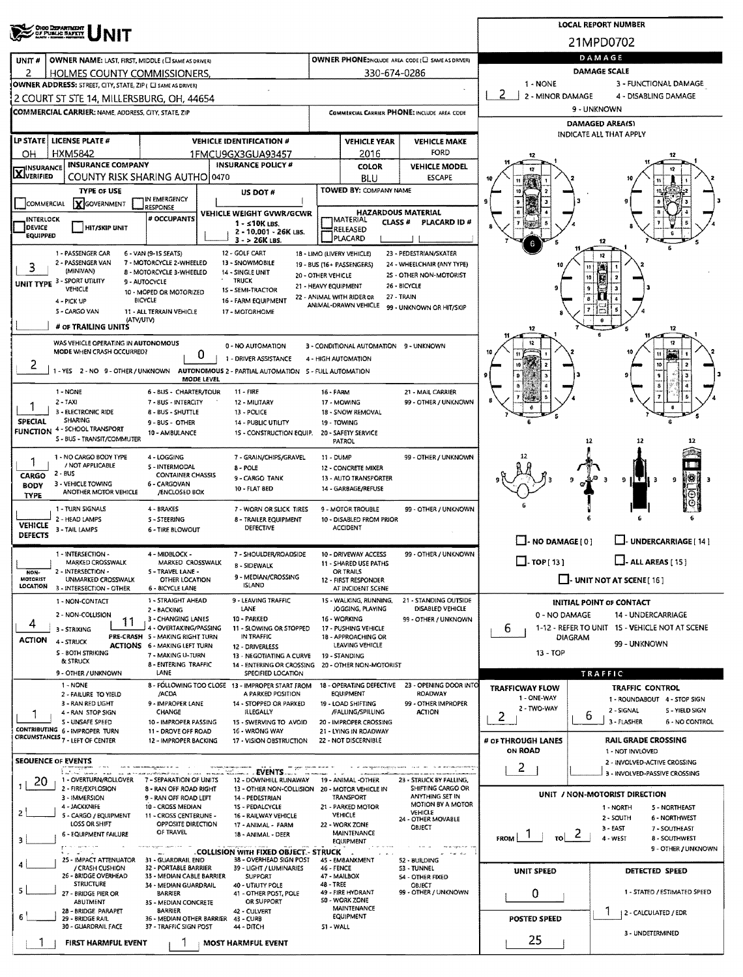|                                  | OHOO DEPARTMENT<br>OF PUBLIC BAFETT                                                          |                                                                        |                                                                                  |                                            |                                                             |                                                                   |                            | <b>LOCAL REPORT NUMBER</b>     |                                                                 |
|----------------------------------|----------------------------------------------------------------------------------------------|------------------------------------------------------------------------|----------------------------------------------------------------------------------|--------------------------------------------|-------------------------------------------------------------|-------------------------------------------------------------------|----------------------------|--------------------------------|-----------------------------------------------------------------|
|                                  |                                                                                              |                                                                        |                                                                                  |                                            |                                                             |                                                                   |                            | 21MPD0702                      |                                                                 |
| UNIT #                           | OWNER NAME: LAST, FIRST, MIDDLE (CI SAME AS DRIVER)                                          |                                                                        |                                                                                  |                                            |                                                             | OWNER PHONE:INCLUDE AREA CODE I EI SAME AS DRIVERY                |                            | DAMAGE                         |                                                                 |
| 2                                | HOLMES COUNTY COMMISSIONERS.<br>OWNER ADDRESS: STREET, CITY, STATE, ZIP ( C) SAME AS DRIVER) |                                                                        |                                                                                  |                                            | 330-674-0286                                                |                                                                   | 1 - NONE                   | <b>DAMAGE SCALE</b>            | 3 - FUNCTIONAL DAMAGE                                           |
|                                  | 2 COURT ST STE 14, MILLERSBURG, OH, 44654                                                    |                                                                        |                                                                                  |                                            |                                                             |                                                                   | 2<br>2 - MINOR DAMAGE      |                                | 4 - DISABLING DAMAGE                                            |
|                                  | COMMERCIAL CARRIER: NAME, ADDRESS, CITY, STATE, ZIP                                          |                                                                        |                                                                                  |                                            |                                                             | COMMERCIAL CARRIER PHONE: INCLUDE AREA CODE                       |                            | 9 - UNKNOWN                    |                                                                 |
|                                  |                                                                                              |                                                                        |                                                                                  |                                            |                                                             |                                                                   |                            | DAMAGED AREA(S)                |                                                                 |
|                                  | LP STATE LICENSE PLATE #                                                                     |                                                                        | <b>VEHICLE IDENTIFICATION #</b>                                                  |                                            | <b>VEHICLE YEAR</b>                                         | <b>VEHICLE MAKE</b>                                               |                            | <b>INDICATE ALL THAT APPLY</b> |                                                                 |
| ΟН                               | <b>HXM5842</b>                                                                               |                                                                        | 1FMCU9GX3GUA93457                                                                |                                            | 2016                                                        | FORD                                                              | 12                         |                                |                                                                 |
| <b>X</b> INSURANCE               | <b>INSURANCE COMPANY</b>                                                                     | COUNTY RISK SHARING AUTHO 0470                                         | <b>INSURANCE POLICY #</b>                                                        |                                            | <b>COLOR</b><br>BLU                                         | <b>VEHICLE MODEL</b><br><b>ESCAPE</b>                             | 12                         |                                |                                                                 |
|                                  | <b>TYPE OF USE</b>                                                                           |                                                                        | US DOT #                                                                         |                                            | TOWED BY: COMPANY NAME                                      |                                                                   |                            |                                |                                                                 |
| <b>COMMERCIAL</b>                | <b>Y</b> GOVERNMENT                                                                          | IN EMERGENCY<br>RESPONSE                                               |                                                                                  |                                            |                                                             |                                                                   |                            |                                |                                                                 |
| INTERLOCK                        |                                                                                              | # OCCUPANTS                                                            | VEHICLE WEIGHT GVWR/GCWR<br>$1 - 10K$ LBS.                                       |                                            | <b>HAZARDOUS MATERIAL</b><br>MATERIAL<br>CLASS <sup>#</sup> | PLACARD ID #                                                      |                            |                                |                                                                 |
| <b>DEVICE</b><br><b>EQUIPPED</b> | <b>HIT/SKIP UNIT</b>                                                                         |                                                                        | 2 - 10,001 - 26K LBS.<br>$3 - 26K$ LBS.                                          |                                            | RELEASED<br>PLACARD                                         |                                                                   |                            |                                |                                                                 |
|                                  | 1 - PASSENGER CAR                                                                            | 6 - VAN (9-15 SEATS)                                                   | 12 - GOLF CART                                                                   |                                            | 18 - LIMO (LIVERY VEHICLE)                                  | 23 - PEDESTRIAN/SKATER                                            | 6                          | 12<br>12                       |                                                                 |
| 3                                | 2 - PASSENGER VAN<br>(MINIVAN)                                                               | 7 - MOTORCYCLE 2-WHEELED<br>8 - MOTORCYCLE 3-WHEELED                   | 13 - SNOWMOBILE<br>14 - SINGLE UNIT                                              |                                            | 19 - BUS (16+ PASSENGERS)                                   | 24 - WHEELCHAIR (ANY TYPE)                                        |                            |                                |                                                                 |
|                                  | UNIT TYPE 3 - SPORT UTILITY                                                                  | 9 - AUTOCYCLE                                                          | <b>TRUCK</b>                                                                     | 20 - OTHER VEHICLE<br>21 - HEAVY EQUIPMENT |                                                             | 25 - OTHER NON-MOTORIST<br>26 - BICYCLE                           |                            |                                |                                                                 |
|                                  | VEHICLE<br>4 - PICK UP                                                                       | 10 - MOPED OR MOTORIZED<br><b>BICYCLE</b>                              | 15 - SEMI-TRACTOR<br>16 - FARM EQUIPMENT                                         |                                            | 22 - ANIMAL WITH RIDER OR                                   | 27 - TRAIN                                                        |                            |                                |                                                                 |
|                                  | 5 - CARGO VAN                                                                                | 11 - ALL TERRAIN VEHICLE                                               | 17 - MOTORHOME                                                                   |                                            | ANIMAL-DRAWN VEHICLE                                        | 99 - UNKNOWN OR HIT/SKIP                                          |                            |                                |                                                                 |
|                                  | (ATV/UTV)<br># OF TRAILING UNITS                                                             |                                                                        |                                                                                  |                                            |                                                             |                                                                   |                            | $\mathbf{e}$                   | 12                                                              |
|                                  | WAS VEHICLE OPERATING IN AUTONOMOUS                                                          |                                                                        | 0 - NO AUTOMATION                                                                |                                            | 3 - CONDITIONAL AUTOMATION 9 - UNKNOWN                      |                                                                   |                            |                                | $^{12}$                                                         |
| 2                                | MODE WHEN CRASH OCCURRED?                                                                    | Ü                                                                      | 1 - DRIVER ASSISTANCE                                                            |                                            | 4 - HIGH AUTOMATION                                         |                                                                   |                            |                                |                                                                 |
|                                  | $1 - YES$                                                                                    | MODE LEVEL                                                             | 2 - NO 9 - OTHER / UNKNOWN AUTONOMOUS 2 - PARTIAL AUTOMATION 5 - FULL AUTOMATION |                                            |                                                             |                                                                   |                            |                                |                                                                 |
|                                  | 1 - NONE                                                                                     | 6 - BUS - CHARTER/TOUR                                                 | $11 - FIRE$                                                                      | 16 - FARM                                  |                                                             | 21 - MAIL CARRIER                                                 |                            |                                |                                                                 |
|                                  | $2 - TAXI$<br>3 - ELECTRONIC RIDE                                                            | 7 - BUS - INTERCITY                                                    | 12 - MILITARY                                                                    |                                            | 17 - MOWING                                                 | 99 - OTHER / UNKNOWN                                              |                            |                                |                                                                 |
| <b>SPECIAL</b>                   | <b>SHARING</b>                                                                               | 8 - BUS - SHUTTLE<br>9-BUS OTHER                                       | 13 - POLICE<br>14 - PUBLIC UTILITY                                               |                                            | 18 - SNOW REMOVAL<br>19 - TOWING                            |                                                                   |                            |                                |                                                                 |
| FUNCTION                         | 4 - SCHOOL TRANSPORT<br>S - BUS - TRANSIT/COMMUTER                                           | 10 - AMBULANCE                                                         | 1S - CONSTRUCTION EQUIP.                                                         |                                            | 20 - SAFETY SERVICE<br><b>PATROL</b>                        |                                                                   |                            | 12                             | 12                                                              |
|                                  | 1 - NO CARGO BODY TYPE                                                                       | 4 - LOGGING                                                            | 7 - GRAIN/CHIPS/GRAVEL                                                           | 11 - DUMP                                  |                                                             | 99 - OTHER / UNKNOWN                                              |                            |                                |                                                                 |
|                                  | / NOT APPLICABLE<br>$2 - BUS$                                                                | 5 - INTERMODAL                                                         | 8 - POLE                                                                         |                                            | 12 - CONCRETE MIXER                                         |                                                                   |                            |                                |                                                                 |
| <b>CARGO</b><br><b>BODY</b>      | 3 - VEHICLE TOWING                                                                           | <b>CONTAINER CHASSIS</b><br>6 - CARGOVAN                               | 9 - CARGO TANK<br>10 - FLAT BED                                                  |                                            | 13 - AUTO TRANSPORTER<br>14 - GARBAGE/REFUSE                |                                                                   |                            | q<br>Э                         | 38<br>9 II T<br>9<br>-3                                         |
| <b>TYPE</b>                      | ANOTHER MOTOR VEHICLE                                                                        | /ENCLOSED BOX                                                          |                                                                                  |                                            |                                                             |                                                                   |                            |                                |                                                                 |
|                                  | 1 - TURN SIGNALS<br>2 - HEAD LAMPS                                                           | 4 - BRAKES<br>5 - STEERING                                             | 7 - WORN OR SLICK TIRES<br>8 - TRAILER EQUIPMENT                                 |                                            | 9 - MOTOR TROUBLE<br>10 - DISABLED FROM PRIOR               | 99 - OTHER / UNKNOWN                                              |                            |                                |                                                                 |
| <b>VEHICLE</b><br><b>DEFECTS</b> | 3 - TAIL LAMPS                                                                               | <b>6 - TIRE BLOWOUT</b>                                                | <b>DEFECTIVE</b>                                                                 |                                            | <b>ACCIDENT</b>                                             |                                                                   |                            |                                |                                                                 |
|                                  | 1 - INTERSECTION -                                                                           | 4 - MIDBLOCK -                                                         | 7 - SHOULDER/ROADSIDE                                                            |                                            | 10 - DRIVEWAY ACCESS                                        | 99 - OTHER / UNKNOWN                                              | $\Box$ - NO DAMAGE [0]     |                                | L.J. UNDERCARRIAGE [ 14 ]                                       |
|                                  | MARKED CROSSWALK                                                                             | MARKED CROSSWALK                                                       | <b>8 - SIDEWALK</b>                                                              |                                            | 11 - SHARED USE PATHS                                       |                                                                   | $\square$ - тор [ 13 ]     |                                | $\Box$ - ALL AREAS [15]                                         |
| NON-<br><b>MOTORIST</b>          | 2 - INTERSECTION -<br>UNMARKED CROSSWALK                                                     | 5 - TRAVEL LANE -<br><b>OTHER LOCATION</b>                             | 9 - MEDIAN/CROSSING<br><b>ISLAND</b>                                             |                                            | <b>UK IKAILS</b><br>12 - FIRST RESPONDER                    |                                                                   |                            |                                | $\Box$ - UNIT NOT AT SCENE [16]                                 |
| <b>LOCATION</b>                  | 3 - INTERSECTION - OTHER<br>1 - NON-CONTACT                                                  | 6 - 8ICYCLE LANE<br>1 - STRAIGHT AHEAD                                 | 9 - LEAVING TRAFFIC                                                              |                                            | AT INCIDENT SCENE<br>15 - WALKING, RUNNING,                 | 21 - STANDING OUTSIDE                                             |                            |                                |                                                                 |
|                                  | 2 - NON-COLLISION                                                                            | 2 - BACKING                                                            | LANE                                                                             |                                            | JOGGING, PLAYING                                            | DISABLED VEHICLE                                                  | 0 - NO DAMAGE              |                                | INITIAL POINT OF CONTACT<br><b>14 - UNDERCARRIAGE</b>           |
| 4                                | 11<br>3 - STRIKING                                                                           | 3 - CHANGING LANES<br>4 - OVERTAKING/PASSING                           | 10 - PARKED<br>11 - SLOWING OR STOPPED                                           |                                            | 16 - WORKING<br>17 - PUSHING VEHICLE                        | 99 - OTHER / UNKNOWN                                              | ь                          |                                | 1-12 - REFER TO UNIT 15 - VEHICLE NOT AT SCENE                  |
| <b>ACTION</b>                    | 4 - STRUCK                                                                                   | PRE-CRASH 5 - MAKING RIGHT TURN<br><b>ACTIONS 6 - MAKING LEFT TURN</b> | IN TRAFFIC<br>12 - DRIVERLESS                                                    |                                            | 18 - APPROACHING OR<br>LEAVING VEHICLE                      |                                                                   |                            | DIAGRAM                        | 99 - UNKNOWN                                                    |
|                                  | <b>S - BOTH STRIKING</b><br>& STRUCK                                                         | 7 - MAKING U-TURN                                                      | 13 - NEGOTIATING A CURVE                                                         |                                            | 19 - STANDING                                               |                                                                   | 13 - TOP                   |                                |                                                                 |
|                                  | 9 - OTHER / UNKNOWN                                                                          | 8 - ENTERING TRAFFIC<br>LANE                                           | 14 - ENTERING OR CROSSING<br>SPECIFIED LOCATION                                  |                                            | 20 - OTHER NON-MOTORIST                                     |                                                                   |                            | TRAFFIC                        |                                                                 |
|                                  | 1 - NONE<br>2 - FAILURE TO YIELD                                                             | /ACDA                                                                  | 8 - FOLLOWING TOO CLOSE 13 - IMPROPER START FROM<br>A PARKED POSITION            |                                            | EQUIPMENT                                                   | 18 - OPERATING DEFECTIVE 23 - OPENING DOOR INTO<br><b>ROADWAY</b> | <b>TRAFFICWAY FLOW</b>     |                                | <b>TRAFFIC CONTROL</b>                                          |
|                                  | 3 - RAN RED LIGHT                                                                            | 9 - IMPROPER LANE                                                      | 14 - STOPPED OR PARKED                                                           |                                            | 19 - LOAD SHIFTING                                          | 99 - OTHER IMPROPER                                               | 1 - ONE-WAY<br>2 - TWO-WAY |                                | 1 - ROUNDABOUT 4 - STOP SIGN<br>2 - SIGNAL<br>5 - YIELD SIGN    |
|                                  | 4 - RAN STOP SIGN<br>S - UNSAFE SPEED                                                        | CHANGE<br>10 - IMPROPER PASSING                                        | ILLEGALLY<br>15 - SWERVING TO AVOID                                              |                                            | /FALLING/SPILLING<br>20 - IMPROPER CROSSING                 | <b>ACTION</b>                                                     | 2                          | 6                              | 3 - FLASHER<br>6 - NO CONTROL                                   |
|                                  | CONTRIBUTING 6 - IMPROPER TURN<br>CIRCUMSTANCES 7 - LEFT OF CENTER                           | 11 - DROVE OFF ROAD<br>12 - IMPROPER BACKING                           | 16 - WRONG WAY<br>17 - VISION OBSTRUCTION                                        |                                            | 21 - LYING IN ROADWAY<br>22 - NOT DISCERNIBLE               |                                                                   | # OF THROUGH LANES         |                                | <b>RAIL GRADE CROSSING</b>                                      |
|                                  |                                                                                              |                                                                        |                                                                                  |                                            |                                                             |                                                                   | <b>ON ROAD</b>             |                                | 1 - NOT INVLOVED                                                |
|                                  | <b>SEOUENCE OF EVENTS</b><br>ستانسيا                                                         |                                                                        | $\ldots$ . Events                                                                |                                            |                                                             |                                                                   | $2 \square$                |                                | 2 - INVOLVED-ACTIVE CROSSING<br>3 - INVOLVED-PASSIVE CROSSING   |
| 20                               | 1 - OVERTURN/ROLLOVER<br>2 - FIRE/EXPLOSION                                                  | 7 - SEPARATION OF UNITS<br>8 - RAN OFF ROAD RIGHT                      | 12 - DOWNHILL RUNAWAY<br>13 - OTHER NON-COLLISION 20 - MOTOR VEHICLE IN          |                                            | 19 - ANIMAL -OTHER                                          | 23 - STRUCK BY FALLING,<br>SHIFTING CARGO OR                      |                            |                                |                                                                 |
|                                  | 3 - IMMERSION                                                                                | 9 - RAN OFF ROAD LEFT                                                  | 14 - PEDESTRIAN                                                                  |                                            | TRANSPORT                                                   | ANYTHING SET IN<br>MOTION BY A MOTOR                              |                            |                                | UNIT / NON-MOTORIST DIRECTION                                   |
|                                  | 4 - JACKKNIFE<br>5 - CARGO / EQUIPMENT                                                       | 10 - CROSS MEDIAN<br>11 - CROSS CENTERUNE -                            | 15 - PEDALCYCLE<br>16 - RAILWAY VEHICLE                                          |                                            | 21 - PARKED MOTOR<br><b>VEHICLE</b>                         | <b>VEHICLE</b><br>24 - OTHER MOVABLE                              |                            |                                | 1 - NORTH<br>5 - NORTHEAST<br>2 - SOUTH<br><b>6 - NORTHWEST</b> |
|                                  | LOSS OR SHIFT<br>6 - EQUIPMENT FAILURE                                                       | OPPOSITE DIRECTION<br>OF TRAVEL                                        | 17 - ANIMAL - FARM<br>18 - ANIMAL - DEER                                         |                                            | 22 - WORK ZONE<br><b>MAINTENANCE</b>                        | OBJECT                                                            | $\frac{1}{10}$ 2<br>FROM 1 |                                | $3 - EAST$<br>7 - SOUTHEAST                                     |
|                                  | $1.17796 \times 1.006$                                                                       |                                                                        | . COLLISION WITH FIXED OBJECT. - STRUCK                                          |                                            | <b>EQUIPMENT</b>                                            |                                                                   |                            |                                | 4 - WEST<br>8 - SOUTHWEST<br>9 - OTHER / UNKNOWN                |
|                                  | 25 - IMPACT ATTENUATOR<br>/ CRASH CUSHION                                                    | 31 - GUARDRAIL END<br>32 - PORTABLE BARRIER                            | 38 - OVERHEAD SIGN POST<br>39 - LIGHT / LUMINARIES                               | 46 - FENCE                                 | 45 - EM8ANKMENT                                             | 52 - BUILDING<br>53 - TUNNEL                                      |                            |                                |                                                                 |
|                                  | 26 - 8RIDGE OVERHEAD<br><b>STRUCTURE</b>                                                     | 33 - MEDIAN CABLE BARRIER                                              | <b>SUPPORT</b>                                                                   |                                            | 47 - MAILBOX                                                | 54 - OTHER FIXED                                                  | UNIT SPEED                 |                                | DETECTED SPEED                                                  |
|                                  | 27 - BRIDGE PIER OR                                                                          | 34 - MEDIAN GUARDRAIL<br><b>BARRIER</b>                                | 40 - UTIUTY POLE<br>41 - OTHER POST, POLE                                        | 48 - TREE                                  | 49 - FIRE HYDRANT                                           | OBJECT<br>99 - OTHER / UNKNOWN                                    | 0                          |                                | 1 - STATED / ESTIMATED SPEED                                    |
|                                  | ABUTMENT<br>28 - BRIDGE PARAPET                                                              | 35 - MEDIAN CONCRETE<br><b>BARRIER</b>                                 | OR SUPPORT<br>42 - CULVERT                                                       |                                            | 50 - WORK ZONE<br>MAINTENANCE                               |                                                                   |                            |                                | 2 - CALCULATED / EDR                                            |
|                                  | 29 BRIDGE RAIL<br>30 - GUARDRAIL FACE                                                        | 36 - MEDIAN OTHER BARRIER 43 - CURB<br>37 - TRAFFIC SIGN POST          | 44 - DITCH                                                                       | 51 - WALL                                  | EQUIPMENT                                                   |                                                                   | <b>POSTED SPEED</b>        |                                |                                                                 |
|                                  | FIRST HARMFUL EVENT                                                                          |                                                                        | <b>MOST HARMFUL EVENT</b>                                                        |                                            |                                                             |                                                                   | 25                         |                                | 3 - UNDETERMINED                                                |
|                                  |                                                                                              |                                                                        |                                                                                  |                                            |                                                             |                                                                   |                            |                                |                                                                 |